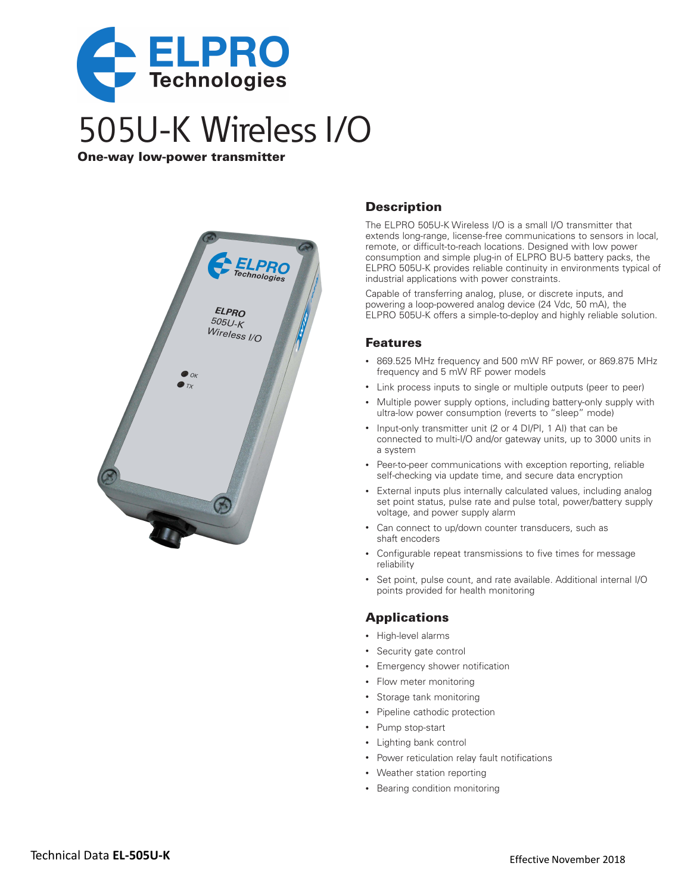

One‑way low‑power transmitter



### **Description**

The ELPRO 505U-K Wireless I/O is a small I/O transmitter that extends long-range, license-free communications to sensors in local, remote, or difficult-to-reach locations. Designed with low power consumption and simple plug-in of ELPRO BU-5 battery packs, the ELPRO 505U-K provides reliable continuity in environments typical of industrial applications with power constraints.

Capable of transferring analog, pluse, or discrete inputs, and powering a loop-powered analog device (24 Vdc, 50 mA), the ELPRO 505U-K offers a simple-to-deploy and highly reliable solution.

#### Features

- • 869.525 MHz frequency and 500 mW RF power, or 869.875 MHz frequency and 5 mW RF power models
- Link process inputs to single or multiple outputs (peer to peer)
- Multiple power supply options, including battery-only supply with ultra-low power consumption (reverts to "sleep" mode)
- Input-only transmitter unit (2 or 4 DI/PI, 1 AI) that can be connected to multi-I/O and/or gateway units, up to 3000 units in a system
- Peer-to-peer communications with exception reporting, reliable self-checking via update time, and secure data encryption
- External inputs plus internally calculated values, including analog set point status, pulse rate and pulse total, power/battery supply voltage, and power supply alarm
- Can connect to up/down counter transducers, such as shaft encoders
- Configurable repeat transmissions to five times for message reliability
- Set point, pulse count, and rate available. Additional internal I/O points provided for health monitoring

#### Applications

- • High-level alarms
- • Security gate control
- • Emergency shower notification
- Flow meter monitoring
- • Storage tank monitoring
- Pipeline cathodic protection
- • Pump stop-start
- • Lighting bank control
- • Power reticulation relay fault notifications
- • Weather station reporting
- Bearing condition monitoring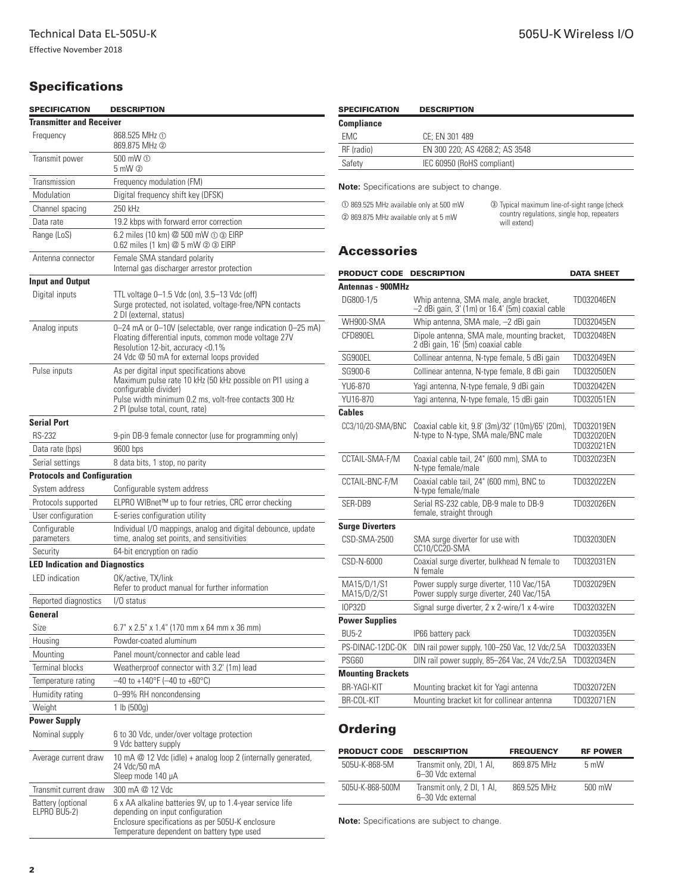## **Specifications**

| <b>SPECIFICATION</b>                  | <b>DESCRIPTION</b>                                                                                                                                                                                                          |  |  |  |
|---------------------------------------|-----------------------------------------------------------------------------------------------------------------------------------------------------------------------------------------------------------------------------|--|--|--|
| <b>Transmitter and Receiver</b>       |                                                                                                                                                                                                                             |  |  |  |
| Frequency                             | 868.525 MHz ①<br>869.875 MHz 2                                                                                                                                                                                              |  |  |  |
| Transmit power                        | 500 mW ①<br>$5 \text{ mW}$ $\textcircled{2}$                                                                                                                                                                                |  |  |  |
| Transmission                          | Frequency modulation (FM)                                                                                                                                                                                                   |  |  |  |
| Modulation                            | Digital frequency shift key (DFSK)                                                                                                                                                                                          |  |  |  |
| Channel spacing                       | 250 kHz                                                                                                                                                                                                                     |  |  |  |
| Data rate                             | 19.2 kbps with forward error correction                                                                                                                                                                                     |  |  |  |
| Range (LoS)                           | 6.2 miles (10 km) @ 500 mW ① 3 EIRP<br>0.62 miles (1 km) @ 5 mW @ 3 EIRP                                                                                                                                                    |  |  |  |
| Antenna connector                     | Female SMA standard polarity<br>Internal gas discharger arrestor protection                                                                                                                                                 |  |  |  |
| <b>Input and Output</b>               |                                                                                                                                                                                                                             |  |  |  |
| Digital inputs                        | TTL voltage 0–1.5 Vdc (on), 3.5–13 Vdc (off)<br>Surge protected, not isolated, voltage-free/NPN contacts<br>2 DI (external, status)                                                                                         |  |  |  |
| Analog inputs                         | 0-24 mA or 0-10V (selectable, over range indication 0-25 mA)<br>Floating differential inputs, common mode voltage 27V<br>Resolution 12-bit, accuracy <0.1%<br>24 Vdc @ 50 mA for external loops provided                    |  |  |  |
| Pulse inputs                          | As per digital input specifications above<br>Maximum pulse rate 10 kHz (50 kHz possible on PI1 using a<br>configurable divider)<br>Pulse width minimum 0.2 ms, volt-free contacts 300 Hz<br>2 PI (pulse total, count, rate) |  |  |  |
| <b>Serial Port</b>                    |                                                                                                                                                                                                                             |  |  |  |
| <b>RS-232</b>                         | 9-pin DB-9 female connector (use for programming only)                                                                                                                                                                      |  |  |  |
| Data rate (bps)                       | 9600 bps                                                                                                                                                                                                                    |  |  |  |
| Serial settings                       | 8 data bits, 1 stop, no parity                                                                                                                                                                                              |  |  |  |
| <b>Protocols and Configuration</b>    |                                                                                                                                                                                                                             |  |  |  |
| System address                        | Configurable system address                                                                                                                                                                                                 |  |  |  |
| Protocols supported                   | ELPRO WIBnet™ up to four retries, CRC error checking                                                                                                                                                                        |  |  |  |
| User configuration                    | E-series configuration utility                                                                                                                                                                                              |  |  |  |
| Configurable<br>parameters            | Individual I/O mappings, analog and digital debounce, update<br>time, analog set points, and sensitivities                                                                                                                  |  |  |  |
| Security                              | 64-bit encryption on radio                                                                                                                                                                                                  |  |  |  |
| <b>LED Indication and Diagnostics</b> |                                                                                                                                                                                                                             |  |  |  |
| LED indication                        | OK/active, TX/link<br>Refer to product manual for further information                                                                                                                                                       |  |  |  |
| Reported diagnostics                  | I/O status                                                                                                                                                                                                                  |  |  |  |
| General                               |                                                                                                                                                                                                                             |  |  |  |
| Size                                  | 6.7" x 2.5" x 1.4" (170 mm x 64 mm x 36 mm)                                                                                                                                                                                 |  |  |  |
| Housing                               | Powder-coated aluminum                                                                                                                                                                                                      |  |  |  |
| Mounting                              | Panel mount/connector and cable lead                                                                                                                                                                                        |  |  |  |
| <b>Terminal blocks</b>                | Weatherproof connector with 3.2' (1m) lead                                                                                                                                                                                  |  |  |  |
| Temperature rating                    | $-40$ to +140°F (-40 to +60°C)                                                                                                                                                                                              |  |  |  |
| Humidity rating                       | 0-99% RH noncondensing                                                                                                                                                                                                      |  |  |  |
| Weight                                | 1 lb (500q)                                                                                                                                                                                                                 |  |  |  |
| <b>Power Supply</b>                   |                                                                                                                                                                                                                             |  |  |  |
| Nominal supply                        | 6 to 30 Vdc, under/over voltage protection<br>9 Vdc battery supply                                                                                                                                                          |  |  |  |
| Average current draw                  | 10 mA @ 12 Vdc (idle) + analog loop 2 (internally generated,<br>24 Vdc/50 mA<br>Sleep mode 140 µA                                                                                                                           |  |  |  |
| Transmit current draw                 | 300 mA @ 12 Vdc                                                                                                                                                                                                             |  |  |  |
| Battery (optional<br>ELPRO BU5-2)     | 6 x AA alkaline batteries 9V, up to 1.4-year service life<br>depending on input configuration<br>Enclosure specifications as per 505U-K enclosure<br>Temperature dependent on battery type used                             |  |  |  |

| <b>SPECIFICATION</b> | <b>DESCRIPTION</b>             |
|----------------------|--------------------------------|
| <b>Compliance</b>    |                                |
| EMC                  | CE: EN 301 489                 |
| RF (radio)           | EN 300 220; AS 4268.2; AS 3548 |
| Safety               | IEC 60950 (RoHS compliant)     |
|                      |                                |

**Note:** Specifications are subject to change.

<span id="page-1-2"></span><span id="page-1-1"></span><span id="page-1-0"></span>

| 10 869.525 MHz available only at 500 mW | <b>3</b> Typical maximum line-of-sight range (check        |  |
|-----------------------------------------|------------------------------------------------------------|--|
| 2 869.875 MHz available only at 5 mW    | country regulations, single hop, repeaters<br>will extend) |  |

## **Accessories**

| <b>PRODUCT CODE</b>        | <b>DESCRIPTION</b>                                                                         | <b>DATA SHEET</b>                      |
|----------------------------|--------------------------------------------------------------------------------------------|----------------------------------------|
| <b>Antennas - 900MHz</b>   |                                                                                            |                                        |
| DG800-1/5                  | Whip antenna, SMA male, angle bracket,<br>-2 dBi gain, 3' (1m) or 16.4' (5m) coaxial cable | TD032046EN                             |
| WH900-SMA                  | Whip antenna, SMA male, -2 dBi gain                                                        | TD032045EN                             |
| CED890EL                   | Dipole antenna, SMA male, mounting bracket,<br>2 dBi gain, 16' (5m) coaxial cable          | TD032048EN                             |
| SG900EL                    | Collinear antenna, N-type female, 5 dBi gain                                               | TD032049EN                             |
| SG900-6                    | Collinear antenna, N-type female, 8 dBi gain                                               | TD032050EN                             |
| YU6-870                    | Yagi antenna, N-type female, 9 dBi gain                                                    | TD032042EN                             |
| YU16-870                   | Yagi antenna, N-type female, 15 dBi gain                                                   | TD032051EN                             |
| <b>Cables</b>              |                                                                                            |                                        |
| CC3/10/20-SMA/BNC          | Coaxial cable kit, 9.8' (3m)/32' (10m)/65' (20m),<br>N-type to N-type, SMA male/BNC male   | TD032019EN<br>TD032020EN<br>TD032021EN |
| CCTAIL-SMA-F/M             | Coaxial cable tail, 24" (600 mm), SMA to<br>N-type female/male                             | TD032023EN                             |
| CCTAIL-BNC-F/M             | Coaxial cable tail, 24" (600 mm), BNC to<br>N-type female/male                             | TD032022EN                             |
| SER-DB9                    | Serial RS-232 cable, DB-9 male to DB-9<br>female, straight through                         | TD032026EN                             |
| <b>Surge Diverters</b>     |                                                                                            |                                        |
| CSD-SMA-2500               | SMA surge diverter for use with<br>CC10/CC20-SMA                                           | TD032030EN                             |
| CSD-N-6000                 | Coaxial surge diverter, bulkhead N female to<br>N female                                   | TD032031EN                             |
| MA15/D/1/S1<br>MA15/D/2/S1 | Power supply surge diverter, 110 Vac/15A<br>Power supply surge diverter, 240 Vac/15A       | TD032029FN                             |
| IOP32D                     | Signal surge diverter, 2 x 2-wire/1 x 4-wire                                               | TD032032EN                             |
| <b>Power Supplies</b>      |                                                                                            |                                        |
| <b>BU5-2</b>               | IP66 battery pack                                                                          | TD032035EN                             |
| PS-DINAC-12DC-OK           | DIN rail power supply, 100-250 Vac, 12 Vdc/2.5A                                            | TD032033EN                             |
| PSG60                      | DIN rail power supply, 85-264 Vac, 24 Vdc/2.5A                                             | TD032034EN                             |
| <b>Mounting Brackets</b>   |                                                                                            |                                        |
| <b>BR-YAGI-KIT</b>         | Mounting bracket kit for Yagi antenna                                                      | TD032072EN                             |
| BR-COL-KIT                 | Mounting bracket kit for collinear antenna                                                 | TD032071EN                             |

# **Ordering**

| <b>PRODUCT CODE</b> | <b>DESCRIPTION</b>                              | <b>FREQUENCY</b> | <b>RF POWER</b> |
|---------------------|-------------------------------------------------|------------------|-----------------|
| 505U-K-868-5M       | Transmit only, 2DI, 1 AI,<br>6-30 Vdc external  | 869.875 MHz      | $5 \text{ mW}$  |
| 505U-K-868-500M     | Transmit only, 2 DI, 1 AI,<br>6-30 Vdc external | 869 525 MHz      | 500 mW          |

**Note:** Specifications are subject to change.